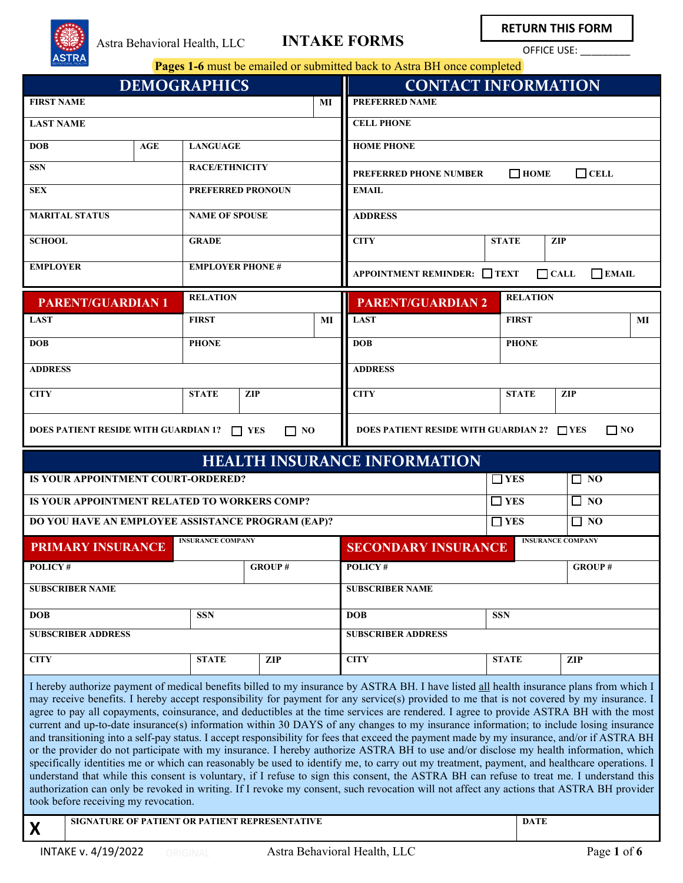

**RETURN THIS FORM**

OFFICE USE:

| <b>DEMOGRAPHICS</b>                                                                                                                                                                                                                                                                                                                                                                                                                                                                                                                                                                                                                                                                                                                                                                                                                                                                                                                                                                                                                                                                                                                                                                                                                                                                                                                                                                                                     |                           |     |                          | <b>CONTACT INFORMATION</b> |                                                               |                                                             |                          |                 |            |  |
|-------------------------------------------------------------------------------------------------------------------------------------------------------------------------------------------------------------------------------------------------------------------------------------------------------------------------------------------------------------------------------------------------------------------------------------------------------------------------------------------------------------------------------------------------------------------------------------------------------------------------------------------------------------------------------------------------------------------------------------------------------------------------------------------------------------------------------------------------------------------------------------------------------------------------------------------------------------------------------------------------------------------------------------------------------------------------------------------------------------------------------------------------------------------------------------------------------------------------------------------------------------------------------------------------------------------------------------------------------------------------------------------------------------------------|---------------------------|-----|--------------------------|----------------------------|---------------------------------------------------------------|-------------------------------------------------------------|--------------------------|-----------------|------------|--|
| <b>FIRST NAME</b>                                                                                                                                                                                                                                                                                                                                                                                                                                                                                                                                                                                                                                                                                                                                                                                                                                                                                                                                                                                                                                                                                                                                                                                                                                                                                                                                                                                                       |                           |     |                          |                            | MI                                                            | <b>PREFERRED NAME</b>                                       |                          |                 |            |  |
| <b>LAST NAME</b>                                                                                                                                                                                                                                                                                                                                                                                                                                                                                                                                                                                                                                                                                                                                                                                                                                                                                                                                                                                                                                                                                                                                                                                                                                                                                                                                                                                                        |                           |     |                          |                            |                                                               | <b>CELL PHONE</b>                                           |                          |                 |            |  |
| <b>DOB</b>                                                                                                                                                                                                                                                                                                                                                                                                                                                                                                                                                                                                                                                                                                                                                                                                                                                                                                                                                                                                                                                                                                                                                                                                                                                                                                                                                                                                              |                           | AGE | <b>LANGUAGE</b>          |                            |                                                               | <b>HOME PHONE</b>                                           |                          |                 |            |  |
| <b>SSN</b>                                                                                                                                                                                                                                                                                                                                                                                                                                                                                                                                                                                                                                                                                                                                                                                                                                                                                                                                                                                                                                                                                                                                                                                                                                                                                                                                                                                                              |                           |     | <b>RACE/ETHNICITY</b>    |                            |                                                               | $\Box$ HOME<br>$\Box$ CELL<br>PREFERRED PHONE NUMBER        |                          |                 |            |  |
| <b>SEX</b>                                                                                                                                                                                                                                                                                                                                                                                                                                                                                                                                                                                                                                                                                                                                                                                                                                                                                                                                                                                                                                                                                                                                                                                                                                                                                                                                                                                                              |                           |     | <b>PREFERRED PRONOUN</b> |                            |                                                               | <b>EMAIL</b>                                                |                          |                 |            |  |
| <b>MARITAL STATUS</b>                                                                                                                                                                                                                                                                                                                                                                                                                                                                                                                                                                                                                                                                                                                                                                                                                                                                                                                                                                                                                                                                                                                                                                                                                                                                                                                                                                                                   |                           |     | <b>NAME OF SPOUSE</b>    |                            |                                                               | <b>ADDRESS</b>                                              |                          |                 |            |  |
| <b>SCHOOL</b>                                                                                                                                                                                                                                                                                                                                                                                                                                                                                                                                                                                                                                                                                                                                                                                                                                                                                                                                                                                                                                                                                                                                                                                                                                                                                                                                                                                                           |                           |     | <b>GRADE</b>             |                            |                                                               | <b>CITY</b><br><b>STATE</b><br><b>ZIP</b>                   |                          |                 |            |  |
| <b>EMPLOYER</b>                                                                                                                                                                                                                                                                                                                                                                                                                                                                                                                                                                                                                                                                                                                                                                                                                                                                                                                                                                                                                                                                                                                                                                                                                                                                                                                                                                                                         |                           |     | <b>EMPLOYER PHONE #</b>  |                            |                                                               | APPOINTMENT REMINDER: □ TEXT<br>$\Box$ CALL<br>$\Box$ EMAIL |                          |                 |            |  |
|                                                                                                                                                                                                                                                                                                                                                                                                                                                                                                                                                                                                                                                                                                                                                                                                                                                                                                                                                                                                                                                                                                                                                                                                                                                                                                                                                                                                                         | <b>PARENT/GUARDIAN 1</b>  |     | <b>RELATION</b>          |                            |                                                               | <b>PARENT/GUARDIAN 2</b>                                    |                          | <b>RELATION</b> |            |  |
| <b>LAST</b>                                                                                                                                                                                                                                                                                                                                                                                                                                                                                                                                                                                                                                                                                                                                                                                                                                                                                                                                                                                                                                                                                                                                                                                                                                                                                                                                                                                                             |                           |     | <b>FIRST</b>             |                            | MI                                                            | <b>LAST</b>                                                 |                          | <b>FIRST</b>    | MI         |  |
| <b>DOB</b>                                                                                                                                                                                                                                                                                                                                                                                                                                                                                                                                                                                                                                                                                                                                                                                                                                                                                                                                                                                                                                                                                                                                                                                                                                                                                                                                                                                                              |                           |     | <b>PHONE</b>             |                            |                                                               | <b>DOB</b>                                                  |                          | <b>PHONE</b>    |            |  |
| <b>ADDRESS</b>                                                                                                                                                                                                                                                                                                                                                                                                                                                                                                                                                                                                                                                                                                                                                                                                                                                                                                                                                                                                                                                                                                                                                                                                                                                                                                                                                                                                          |                           |     |                          |                            |                                                               | <b>ADDRESS</b>                                              |                          |                 |            |  |
| <b>CITY</b>                                                                                                                                                                                                                                                                                                                                                                                                                                                                                                                                                                                                                                                                                                                                                                                                                                                                                                                                                                                                                                                                                                                                                                                                                                                                                                                                                                                                             |                           |     | <b>STATE</b>             | <b>ZIP</b>                 |                                                               | <b>CITY</b>                                                 |                          | <b>STATE</b>    | <b>ZIP</b> |  |
| DOES PATIENT RESIDE WITH GUARDIAN 1? $\Box$ YES<br>$\Box$ NO                                                                                                                                                                                                                                                                                                                                                                                                                                                                                                                                                                                                                                                                                                                                                                                                                                                                                                                                                                                                                                                                                                                                                                                                                                                                                                                                                            |                           |     |                          |                            | <b>DOES PATIENT RESIDE WITH GUARDIAN 2?</b> TYES<br>$\Box$ NO |                                                             |                          |                 |            |  |
| <b>HEALTH INSURANCE INFORMATION</b>                                                                                                                                                                                                                                                                                                                                                                                                                                                                                                                                                                                                                                                                                                                                                                                                                                                                                                                                                                                                                                                                                                                                                                                                                                                                                                                                                                                     |                           |     |                          |                            |                                                               |                                                             |                          |                 |            |  |
| IS YOUR APPOINTMENT COURT-ORDERED?                                                                                                                                                                                                                                                                                                                                                                                                                                                                                                                                                                                                                                                                                                                                                                                                                                                                                                                                                                                                                                                                                                                                                                                                                                                                                                                                                                                      |                           |     |                          |                            | $\square$ YES                                                 |                                                             | $\square$ NO             |                 |            |  |
| IS YOUR APPOINTMENT RELATED TO WORKERS COMP?                                                                                                                                                                                                                                                                                                                                                                                                                                                                                                                                                                                                                                                                                                                                                                                                                                                                                                                                                                                                                                                                                                                                                                                                                                                                                                                                                                            |                           |     |                          | $\square$ YES              |                                                               | $\Box$ NO                                                   |                          |                 |            |  |
| DO YOU HAVE AN EMPLOYEE ASSISTANCE PROGRAM (EAP)?                                                                                                                                                                                                                                                                                                                                                                                                                                                                                                                                                                                                                                                                                                                                                                                                                                                                                                                                                                                                                                                                                                                                                                                                                                                                                                                                                                       |                           |     |                          |                            | $\Box$ YES                                                    |                                                             | $\Box$ NO                |                 |            |  |
| <b>INSURANCE COMPANY</b><br><b>PRIMARY INSURANCE</b>                                                                                                                                                                                                                                                                                                                                                                                                                                                                                                                                                                                                                                                                                                                                                                                                                                                                                                                                                                                                                                                                                                                                                                                                                                                                                                                                                                    |                           |     |                          | <b>SECONDARY INSURANCE</b> |                                                               |                                                             | <b>INSURANCE COMPANY</b> |                 |            |  |
| POLICY#                                                                                                                                                                                                                                                                                                                                                                                                                                                                                                                                                                                                                                                                                                                                                                                                                                                                                                                                                                                                                                                                                                                                                                                                                                                                                                                                                                                                                 |                           |     | <b>GROUP#</b>            |                            | <b>POLICY#</b>                                                |                                                             |                          | <b>GROUP#</b>   |            |  |
| <b>SUBSCRIBER NAME</b>                                                                                                                                                                                                                                                                                                                                                                                                                                                                                                                                                                                                                                                                                                                                                                                                                                                                                                                                                                                                                                                                                                                                                                                                                                                                                                                                                                                                  |                           |     |                          |                            |                                                               | <b>SUBSCRIBER NAME</b>                                      |                          |                 |            |  |
| <b>DOB</b>                                                                                                                                                                                                                                                                                                                                                                                                                                                                                                                                                                                                                                                                                                                                                                                                                                                                                                                                                                                                                                                                                                                                                                                                                                                                                                                                                                                                              |                           |     | <b>SSN</b>               |                            |                                                               | <b>DOB</b>                                                  | <b>SSN</b>               |                 |            |  |
|                                                                                                                                                                                                                                                                                                                                                                                                                                                                                                                                                                                                                                                                                                                                                                                                                                                                                                                                                                                                                                                                                                                                                                                                                                                                                                                                                                                                                         | <b>SUBSCRIBER ADDRESS</b> |     |                          |                            |                                                               | <b>SUBSCRIBER ADDRESS</b>                                   |                          |                 |            |  |
| <b>CITY</b>                                                                                                                                                                                                                                                                                                                                                                                                                                                                                                                                                                                                                                                                                                                                                                                                                                                                                                                                                                                                                                                                                                                                                                                                                                                                                                                                                                                                             |                           |     | <b>STATE</b>             | <b>ZIP</b>                 |                                                               | <b>CITY</b>                                                 | <b>STATE</b>             |                 | <b>ZIP</b> |  |
| I hereby authorize payment of medical benefits billed to my insurance by ASTRA BH. I have listed all health insurance plans from which I<br>may receive benefits. I hereby accept responsibility for payment for any service(s) provided to me that is not covered by my insurance. I<br>agree to pay all copayments, coinsurance, and deductibles at the time services are rendered. I agree to provide ASTRA BH with the most<br>current and up-to-date insurance(s) information within 30 DAYS of any changes to my insurance information; to include losing insurance<br>and transitioning into a self-pay status. I accept responsibility for fees that exceed the payment made by my insurance, and/or if ASTRA BH<br>or the provider do not participate with my insurance. I hereby authorize ASTRA BH to use and/or disclose my health information, which<br>specifically identities me or which can reasonably be used to identify me, to carry out my treatment, payment, and healthcare operations. I<br>understand that while this consent is voluntary, if I refuse to sign this consent, the ASTRA BH can refuse to treat me. I understand this<br>authorization can only be revoked in writing. If I revoke my consent, such revocation will not affect any actions that ASTRA BH provider<br>took before receiving my revocation.<br>SIGNATURE OF PATIENT OR PATIENT REPRESENTATIVE<br><b>DATE</b><br>X |                           |     |                          |                            |                                                               |                                                             |                          |                 |            |  |
|                                                                                                                                                                                                                                                                                                                                                                                                                                                                                                                                                                                                                                                                                                                                                                                                                                                                                                                                                                                                                                                                                                                                                                                                                                                                                                                                                                                                                         |                           |     |                          |                            |                                                               |                                                             |                          |                 |            |  |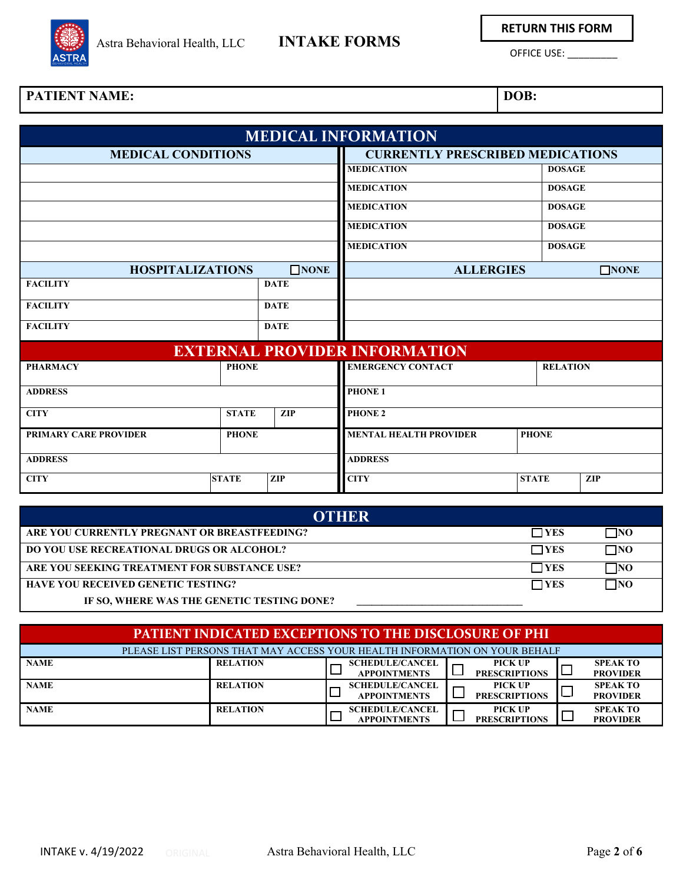

# Astra Behavioral Health, LLC **INTAKE FORMS**

**RETURN THIS FORM**

OFFICE USE: \_\_\_\_\_\_\_\_\_

### **PATIENT NAME: DOB:**

|                                              |  |                                         | <b>MEDICAL INFORMATION</b>           |               |                 |  |
|----------------------------------------------|--|-----------------------------------------|--------------------------------------|---------------|-----------------|--|
| <b>MEDICAL CONDITIONS</b>                    |  | <b>CURRENTLY PRESCRIBED MEDICATIONS</b> |                                      |               |                 |  |
|                                              |  |                                         | <b>MEDICATION</b>                    | <b>DOSAGE</b> |                 |  |
|                                              |  |                                         | <b>MEDICATION</b>                    | <b>DOSAGE</b> |                 |  |
|                                              |  |                                         | <b>MEDICATION</b>                    | <b>DOSAGE</b> |                 |  |
|                                              |  |                                         | <b>MEDICATION</b>                    | <b>DOSAGE</b> |                 |  |
|                                              |  |                                         | <b>MEDICATION</b>                    | <b>DOSAGE</b> |                 |  |
| <b>HOSPITALIZATIONS</b>                      |  | $\square$ NONE                          | <b>ALLERGIES</b>                     |               | $\square$ NONE  |  |
| <b>FACILITY</b>                              |  | <b>DATE</b>                             |                                      |               |                 |  |
| <b>FACILITY</b>                              |  | <b>DATE</b>                             |                                      |               |                 |  |
| <b>FACILITY</b>                              |  | <b>DATE</b>                             |                                      |               |                 |  |
|                                              |  |                                         | <b>EXTERNAL PROVIDER INFORMATION</b> |               |                 |  |
| <b>PHONE</b><br><b>PHARMACY</b>              |  |                                         | <b>EMERGENCY CONTACT</b>             |               | <b>RELATION</b> |  |
| <b>ADDRESS</b>                               |  |                                         | PHONE 1                              |               |                 |  |
| <b>CITY</b><br><b>STATE</b>                  |  | <b>ZIP</b>                              | <b>PHONE 2</b>                       |               |                 |  |
| <b>PRIMARY CARE PROVIDER</b><br><b>PHONE</b> |  |                                         | <b>MENTAL HEALTH PROVIDER</b>        | <b>PHONE</b>  |                 |  |
| <b>ADDRESS</b>                               |  | <b>ADDRESS</b>                          |                                      |               |                 |  |
| <b>CITY</b><br><b>STATE</b>                  |  | <b>ZIP</b>                              | <b>CITY</b>                          | <b>STATE</b>  | <b>ZIP</b>      |  |

| <b>OTHER</b>                                     |            |           |
|--------------------------------------------------|------------|-----------|
| ARE YOU CURRENTLY PREGNANT OR BREASTFEEDING?     | $\Box$ YES | $\neg$ NO |
| <b>DO YOU USE RECREATIONAL DRUGS OR ALCOHOL?</b> | $\Box$ YES | $\Box$ NO |
| ARE YOU SEEKING TREATMENT FOR SUBSTANCE USE?     | $\Box$ YES | 7NO       |
| <b>HAVE YOU RECEIVED GENETIC TESTING?</b>        | $\Box$ YES | 7NO       |
| IF SO, WHERE WAS THE GENETIC TESTING DONE?       |            |           |

| <b>PATIENT INDICATED EXCEPTIONS TO THE DISCLOSURE OF PHI</b>               |                 |                                               |  |                                        |  |                                    |
|----------------------------------------------------------------------------|-----------------|-----------------------------------------------|--|----------------------------------------|--|------------------------------------|
| PLEASE LIST PERSONS THAT MAY ACCESS YOUR HEALTH INFORMATION ON YOUR BEHALF |                 |                                               |  |                                        |  |                                    |
| <b>NAME</b>                                                                | <b>RELATION</b> | <b>SCHEDULE/CANCEL</b><br><b>APPOINTMENTS</b> |  | <b>PICK UP</b><br><b>PRESCRIPTIONS</b> |  | <b>SPEAK TO</b><br><b>PROVIDER</b> |
| <b>NAME</b>                                                                | <b>RELATION</b> | <b>SCHEDULE/CANCEL</b><br><b>APPOINTMENTS</b> |  | <b>PICK UP</b><br><b>PRESCRIPTIONS</b> |  | <b>SPEAK TO</b><br><b>PROVIDER</b> |
| <b>NAME</b>                                                                | <b>RELATION</b> | <b>SCHEDULE/CANCEL</b><br><b>APPOINTMENTS</b> |  | <b>PICK UP</b><br><b>PRESCRIPTIONS</b> |  | <b>SPEAK TO</b><br><b>PROVIDER</b> |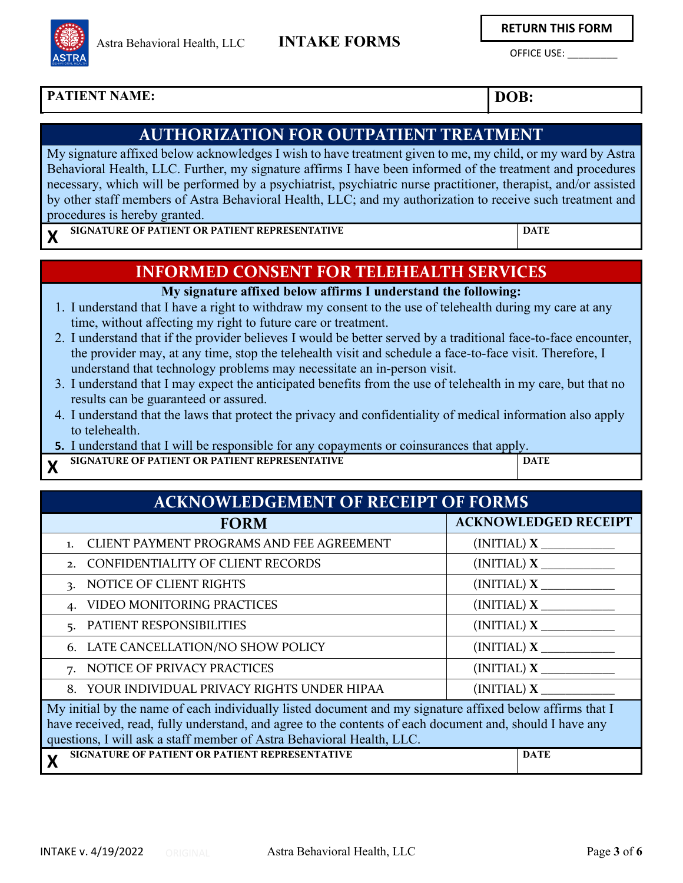**RETURN THIS FORM**

OFFICE USE: \_\_\_\_\_\_\_\_\_

### **PATIENT NAME: DOB:**

### **AUTHORIZATION FOR OUTPATIENT TREATMENT**

My signature affixed below acknowledges I wish to have treatment given to me, my child, or my ward by Astra Behavioral Health, LLC. Further, my signature affirms I have been informed of the treatment and procedures necessary, which will be performed by a psychiatrist, psychiatric nurse practitioner, therapist, and/or assisted by other staff members of Astra Behavioral Health, LLC; and my authorization to receive such treatment and procedures is hereby granted.

**X SIGNATURE OF PATIENT OR PATIENT REPRESENTATIVE <b>DATE** 

Astra Behavioral Health, LLC

## **INFORMED CONSENT FOR TELEHEALTH SERVICES**

### **My signature affixed below affirms I understand the following:**

- 1. I understand that I have a right to withdraw my consent to the use of telehealth during my care at any time, without affecting my right to future care or treatment.
- 2. I understand that if the provider believes I would be better served by a traditional face-to-face encounter, the provider may, at any time, stop the telehealth visit and schedule a face-to-face visit. Therefore, I understand that technology problems may necessitate an in-person visit.
- 3. I understand that I may expect the anticipated benefits from the use of telehealth in my care, but that no results can be guaranteed or assured.
- 4. I understand that the laws that protect the privacy and confidentiality of medical information also apply to telehealth.
- **5.** I understand that I will be responsible for any copayments or coinsurances that apply.
- **X SIGNATURE OF PATIENT OR PATIENT REPRESENTATIVE <b>DATE**

| <b>ACKNOWLEDGEMENT OF RECEIPT OF FORMS</b>                                                                                                                                                                                                                                                     |                             |  |  |  |  |  |
|------------------------------------------------------------------------------------------------------------------------------------------------------------------------------------------------------------------------------------------------------------------------------------------------|-----------------------------|--|--|--|--|--|
| <b>FORM</b>                                                                                                                                                                                                                                                                                    | <b>ACKNOWLEDGED RECEIPT</b> |  |  |  |  |  |
| CLIENT PAYMENT PROGRAMS AND FEE AGREEMENT<br>$\mathbf{1}$ .                                                                                                                                                                                                                                    | $(INITAL)$ $X$ $\_\_$       |  |  |  |  |  |
| CONFIDENTIALITY OF CLIENT RECORDS<br>2 <sub>1</sub>                                                                                                                                                                                                                                            | $(INITAL)$ $X$ $\_\_$       |  |  |  |  |  |
| NOTICE OF CLIENT RIGHTS<br>$\mathbf{R}$                                                                                                                                                                                                                                                        |                             |  |  |  |  |  |
| VIDEO MONITORING PRACTICES                                                                                                                                                                                                                                                                     |                             |  |  |  |  |  |
| PATIENT RESPONSIBILITIES                                                                                                                                                                                                                                                                       | $(INITAL)$ $X$ $\_\_$       |  |  |  |  |  |
| 6. LATE CANCELLATION/NO SHOW POLICY                                                                                                                                                                                                                                                            | $(INITAL)$ $X$ $\_\_$       |  |  |  |  |  |
| 7. NOTICE OF PRIVACY PRACTICES                                                                                                                                                                                                                                                                 |                             |  |  |  |  |  |
| YOUR INDIVIDUAL PRIVACY RIGHTS UNDER HIPAA<br>8.                                                                                                                                                                                                                                               | $(INITAL)$ $X$              |  |  |  |  |  |
| My initial by the name of each individually listed document and my signature affixed below affirms that I<br>have received, read, fully understand, and agree to the contents of each document and, should I have any<br>questions, I will ask a staff member of Astra Behavioral Health, LLC. |                             |  |  |  |  |  |
| SIGNATURE OF PATIENT OR PATIENT REPRESENTATIVE<br>X                                                                                                                                                                                                                                            | <b>DATE</b>                 |  |  |  |  |  |

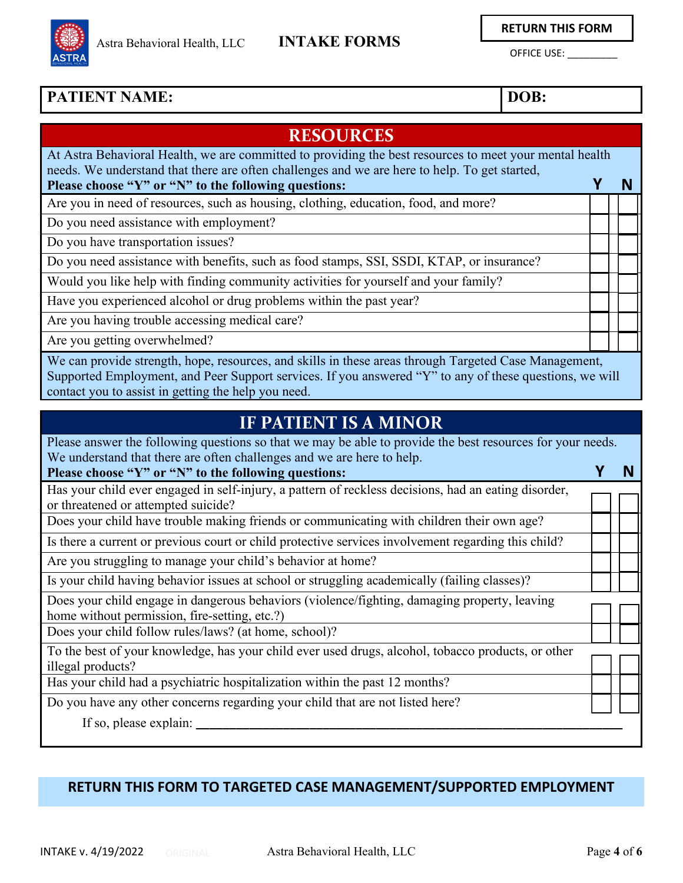

**RETURN THIS FORM**

OFFICE USE: \_\_\_\_\_\_\_\_\_

### **PATIENT NAME:** DOB:

### **RESOURCES** At Astra Behavioral Health, we are committed to providing the best resources to meet your mental health needs. We understand that there are often challenges and we are here to help. To get started, **Please choose "Y" or "N" to the following questions:** Are you in need of resources, such as housing, clothing, education, food, and more? **Y N** Do you need assistance with employment? Do you have transportation issues? Do you need assistance with benefits, such as food stamps, SSI, SSDI, KTAP, or insurance? Would you like help with finding community activities for yourself and your family? Have you experienced alcohol or drug problems within the past year? Are you having trouble accessing medical care? Are you getting overwhelmed? We can provide strength, hope, resources, and skills in these areas through Targeted Case Management, Supported Employment, and Peer Support services. If you answered "Y" to any of these questions, we will

contact you to assist in getting the help you need.

# **IF PATIENT IS A MINOR**

Please answer the following questions so that we may be able to provide the best resources for your needs. We understand that there are often challenges and we are here to help. **Y N**

**Please choose "Y" or "N" to the following questions:**

Has your child ever engaged in self-injury, a pattern of reckless decisions, had an eating disorder, or threatened or attempted suicide?

Does your child have trouble making friends or communicating with children their own age?

Is there a current or previous court or child protective services involvement regarding this child?

Are you struggling to manage your child's behavior at home?

Is your child having behavior issues at school or struggling academically (failing classes)?

Does your child engage in dangerous behaviors (violence/fighting, damaging property, leaving home without permission, fire-setting, etc.?)

Does your child follow rules/laws? (at home, school)?

To the best of your knowledge, has your child ever used drugs, alcohol, tobacco products, or other illegal products?

Has your child had a psychiatric hospitalization within the past 12 months?

Do you have any other concerns regarding your child that are not listed here?

If so, please explain:

### **RETURN THIS FORM TO TARGETED CASE MANAGEMENT/SUPPORTED EMPLOYMENT**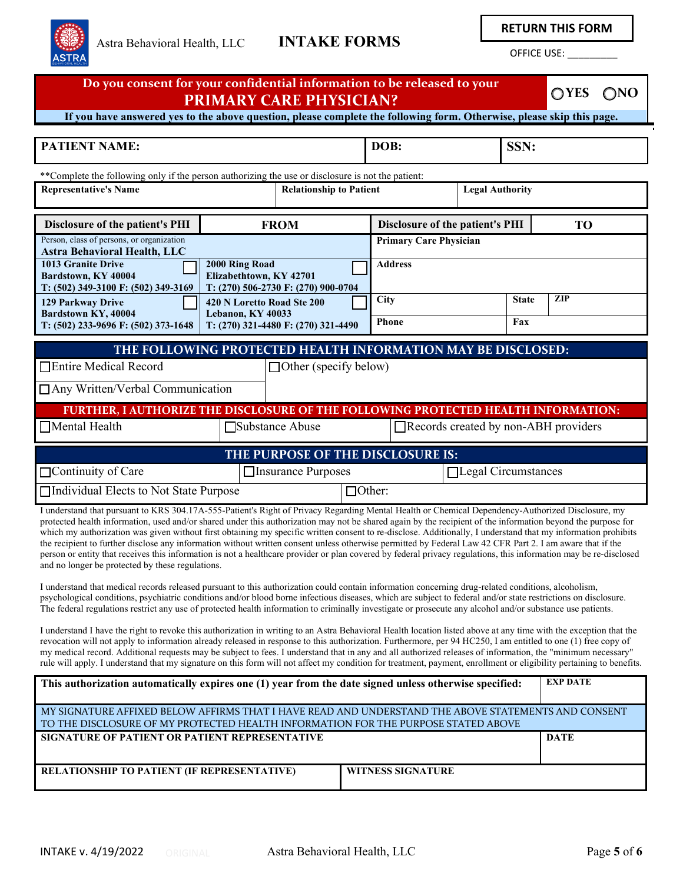

**RETURN THIS FORM**

OFFICE USE: \_\_\_\_\_\_\_\_\_

| Do you consent for your confidential information to be released to your<br>$\bigcirc$ YES<br>$\bigcirc$ NO<br><b>PRIMARY CARE PHYSICIAN?</b>                                                                                                                                                                                                                                                                                                                                                                                                                                                                                                                                                                                                                                                                                                                                                                                                                                                                                    |                                                                                                                           |                                     |                                 |                        |                     |           |  |  |
|---------------------------------------------------------------------------------------------------------------------------------------------------------------------------------------------------------------------------------------------------------------------------------------------------------------------------------------------------------------------------------------------------------------------------------------------------------------------------------------------------------------------------------------------------------------------------------------------------------------------------------------------------------------------------------------------------------------------------------------------------------------------------------------------------------------------------------------------------------------------------------------------------------------------------------------------------------------------------------------------------------------------------------|---------------------------------------------------------------------------------------------------------------------------|-------------------------------------|---------------------------------|------------------------|---------------------|-----------|--|--|
| If you have answered yes to the above question, please complete the following form. Otherwise, please skip this page.                                                                                                                                                                                                                                                                                                                                                                                                                                                                                                                                                                                                                                                                                                                                                                                                                                                                                                           |                                                                                                                           |                                     |                                 |                        |                     |           |  |  |
| <b>PATIENT NAME:</b>                                                                                                                                                                                                                                                                                                                                                                                                                                                                                                                                                                                                                                                                                                                                                                                                                                                                                                                                                                                                            | DOB:                                                                                                                      |                                     |                                 | SSN:                   |                     |           |  |  |
| ** Complete the following only if the person authorizing the use or disclosure is not the patient:<br><b>Representative's Name</b>                                                                                                                                                                                                                                                                                                                                                                                                                                                                                                                                                                                                                                                                                                                                                                                                                                                                                              |                                                                                                                           | <b>Relationship to Patient</b>      |                                 | <b>Legal Authority</b> |                     |           |  |  |
| Disclosure of the patient's PHI                                                                                                                                                                                                                                                                                                                                                                                                                                                                                                                                                                                                                                                                                                                                                                                                                                                                                                                                                                                                 |                                                                                                                           | <b>FROM</b>                         | Disclosure of the patient's PHI |                        |                     | <b>TO</b> |  |  |
| Person, class of persons, or organization<br><b>Astra Behavioral Health, LLC</b>                                                                                                                                                                                                                                                                                                                                                                                                                                                                                                                                                                                                                                                                                                                                                                                                                                                                                                                                                |                                                                                                                           |                                     | <b>Primary Care Physician</b>   |                        |                     |           |  |  |
| <b>1013 Granite Drive</b><br>Bardstown, KY 40004<br>T: (502) 349-3100 F: (502) 349-3169                                                                                                                                                                                                                                                                                                                                                                                                                                                                                                                                                                                                                                                                                                                                                                                                                                                                                                                                         | 2000 Ring Road<br>Elizabethtown, KY 42701                                                                                 | T: (270) 506-2730 F: (270) 900-0704 | <b>Address</b>                  |                        |                     |           |  |  |
| 129 Parkway Drive<br>Bardstown KY, 40004<br>T: (502) 233-9696 F: (502) 373-1648                                                                                                                                                                                                                                                                                                                                                                                                                                                                                                                                                                                                                                                                                                                                                                                                                                                                                                                                                 | 420 N Loretto Road Ste 200<br>Lebanon, KY 40033                                                                           | T: (270) 321-4480 F: (270) 321-4490 | City<br><b>Phone</b>            |                        | <b>State</b><br>Fax | ZIP       |  |  |
| THE FOLLOWING PROTECTED HEALTH INFORMATION MAY BE DISCLOSED:<br>□Entire Medical Record<br>$\Box$ Other (specify below)<br>□ Any Written/Verbal Communication<br>FURTHER, I AUTHORIZE THE DISCLOSURE OF THE FOLLOWING PROTECTED HEALTH INFORMATION:                                                                                                                                                                                                                                                                                                                                                                                                                                                                                                                                                                                                                                                                                                                                                                              |                                                                                                                           |                                     |                                 |                        |                     |           |  |  |
| □Mental Health<br>□Substance Abuse<br>Records created by non-ABH providers                                                                                                                                                                                                                                                                                                                                                                                                                                                                                                                                                                                                                                                                                                                                                                                                                                                                                                                                                      |                                                                                                                           |                                     |                                 |                        |                     |           |  |  |
| THE PURPOSE OF THE DISCLOSURE IS:                                                                                                                                                                                                                                                                                                                                                                                                                                                                                                                                                                                                                                                                                                                                                                                                                                                                                                                                                                                               |                                                                                                                           |                                     |                                 |                        |                     |           |  |  |
| $\Box$ Continuity of Care                                                                                                                                                                                                                                                                                                                                                                                                                                                                                                                                                                                                                                                                                                                                                                                                                                                                                                                                                                                                       |                                                                                                                           | □Insurance Purposes                 |                                 | Legal Circumstances    |                     |           |  |  |
| □Individual Elects to Not State Purpose<br>$\Box$ Other:                                                                                                                                                                                                                                                                                                                                                                                                                                                                                                                                                                                                                                                                                                                                                                                                                                                                                                                                                                        |                                                                                                                           |                                     |                                 |                        |                     |           |  |  |
| I understand that pursuant to KRS 304.17A-555-Patient's Right of Privacy Regarding Mental Health or Chemical Dependency-Authorized Disclosure, my<br>protected health information, used and/or shared under this authorization may not be shared again by the recipient of the information beyond the purpose for<br>which my authorization was given without first obtaining my specific written consent to re-disclose. Additionally, I understand that my information prohibits<br>the recipient to further disclose any information without written consent unless otherwise permitted by Federal Law 42 CFR Part 2. I am aware that if the<br>person or entity that receives this information is not a healthcare provider or plan covered by federal privacy regulations, this information may be re-disclosed<br>and no longer be protected by these regulations.<br>I understand that medical records released pursuant to this authorization could contain information concerning drug-related conditions, alcoholism, |                                                                                                                           |                                     |                                 |                        |                     |           |  |  |
| psychological conditions, psychiatric conditions and/or blood borne infectious diseases, which are subject to federal and/or state restrictions on disclosure.<br>The federal regulations restrict any use of protected health information to criminally investigate or prosecute any alcohol and/or substance use patients.                                                                                                                                                                                                                                                                                                                                                                                                                                                                                                                                                                                                                                                                                                    |                                                                                                                           |                                     |                                 |                        |                     |           |  |  |
| I understand I have the right to revoke this authorization in writing to an Astra Behavioral Health location listed above at any time with the exception that the<br>revocation will not apply to information already released in response to this authorization. Furthermore, per 94 HC250, I am entitled to one (1) free copy of<br>my medical record. Additional requests may be subject to fees. I understand that in any and all authorized releases of information, the "minimum necessary"<br>rule will apply. I understand that my signature on this form will not affect my condition for treatment, payment, enrollment or eligibility pertaining to benefits.                                                                                                                                                                                                                                                                                                                                                        |                                                                                                                           |                                     |                                 |                        |                     |           |  |  |
|                                                                                                                                                                                                                                                                                                                                                                                                                                                                                                                                                                                                                                                                                                                                                                                                                                                                                                                                                                                                                                 | <b>EXP DATE</b><br>This authorization automatically expires one (1) year from the date signed unless otherwise specified: |                                     |                                 |                        |                     |           |  |  |
| MY SIGNATURE AFFIXED BELOW AFFIRMS THAT I HAVE READ AND UNDERSTAND THE ABOVE STATEMENTS AND CONSENT<br>TO THE DISCLOSURE OF MY PROTECTED HEALTH INFORMATION FOR THE PURPOSE STATED ABOVE                                                                                                                                                                                                                                                                                                                                                                                                                                                                                                                                                                                                                                                                                                                                                                                                                                        |                                                                                                                           |                                     |                                 |                        |                     |           |  |  |
| SIGNATURE OF PATIENT OR PATIENT REPRESENTATIVE<br><b>DATE</b>                                                                                                                                                                                                                                                                                                                                                                                                                                                                                                                                                                                                                                                                                                                                                                                                                                                                                                                                                                   |                                                                                                                           |                                     |                                 |                        |                     |           |  |  |
| <b>WITNESS SIGNATURE</b><br><b>RELATIONSHIP TO PATIENT (IF REPRESENTATIVE)</b>                                                                                                                                                                                                                                                                                                                                                                                                                                                                                                                                                                                                                                                                                                                                                                                                                                                                                                                                                  |                                                                                                                           |                                     |                                 |                        |                     |           |  |  |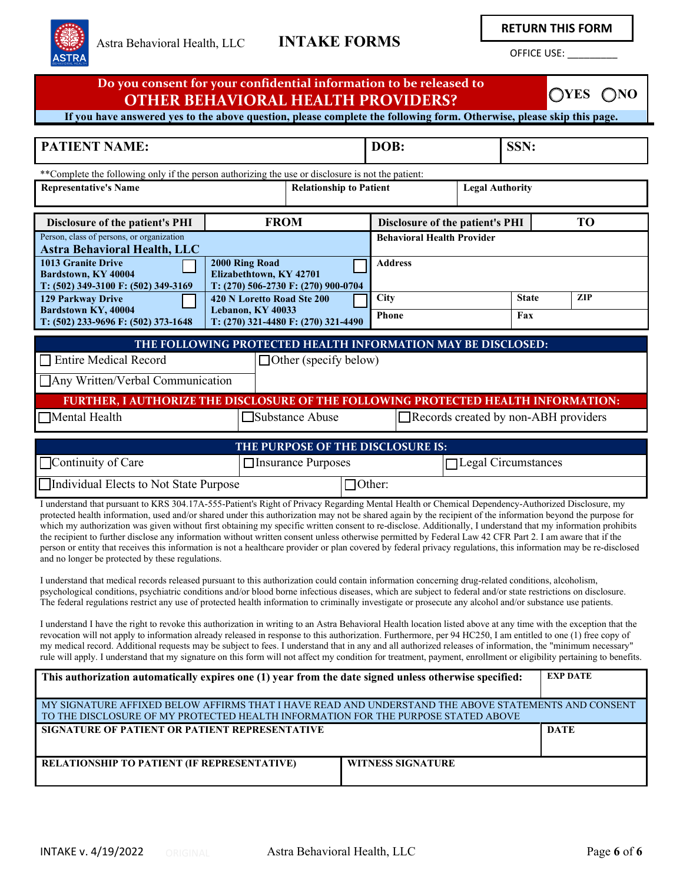

**RETURN THIS FORM**

OFFICE USE: \_\_\_\_\_\_\_\_\_

| Do you consent for your confidential information to be released to<br><b>OYES</b><br>$\bigcirc$ NO<br><b>OTHER BEHAVIORAL HEALTH PROVIDERS?</b>                                                                                                                                                                                                                                                                                                                                                                                                                                                                                                                                                                                                                                                                                                                                                                                                                                                                                                                                                                                                                                                                                                                                                                                                                                                                                                                                                                                                                                                                                                                                                       |                                                 |                                     |                                   |           |              |            |  |
|-------------------------------------------------------------------------------------------------------------------------------------------------------------------------------------------------------------------------------------------------------------------------------------------------------------------------------------------------------------------------------------------------------------------------------------------------------------------------------------------------------------------------------------------------------------------------------------------------------------------------------------------------------------------------------------------------------------------------------------------------------------------------------------------------------------------------------------------------------------------------------------------------------------------------------------------------------------------------------------------------------------------------------------------------------------------------------------------------------------------------------------------------------------------------------------------------------------------------------------------------------------------------------------------------------------------------------------------------------------------------------------------------------------------------------------------------------------------------------------------------------------------------------------------------------------------------------------------------------------------------------------------------------------------------------------------------------|-------------------------------------------------|-------------------------------------|-----------------------------------|-----------|--------------|------------|--|
| If you have answered yes to the above question, please complete the following form. Otherwise, please skip this page.                                                                                                                                                                                                                                                                                                                                                                                                                                                                                                                                                                                                                                                                                                                                                                                                                                                                                                                                                                                                                                                                                                                                                                                                                                                                                                                                                                                                                                                                                                                                                                                 |                                                 |                                     |                                   |           |              |            |  |
| <b>PATIENT NAME:</b><br>DOB:<br>SSN:                                                                                                                                                                                                                                                                                                                                                                                                                                                                                                                                                                                                                                                                                                                                                                                                                                                                                                                                                                                                                                                                                                                                                                                                                                                                                                                                                                                                                                                                                                                                                                                                                                                                  |                                                 |                                     |                                   |           |              |            |  |
| ** Complete the following only if the person authorizing the use or disclosure is not the patient:                                                                                                                                                                                                                                                                                                                                                                                                                                                                                                                                                                                                                                                                                                                                                                                                                                                                                                                                                                                                                                                                                                                                                                                                                                                                                                                                                                                                                                                                                                                                                                                                    |                                                 |                                     |                                   |           |              |            |  |
| <b>Representative's Name</b><br><b>Relationship to Patient</b><br><b>Legal Authority</b>                                                                                                                                                                                                                                                                                                                                                                                                                                                                                                                                                                                                                                                                                                                                                                                                                                                                                                                                                                                                                                                                                                                                                                                                                                                                                                                                                                                                                                                                                                                                                                                                              |                                                 |                                     |                                   |           |              |            |  |
| <b>Disclosure of the patient's PHI</b>                                                                                                                                                                                                                                                                                                                                                                                                                                                                                                                                                                                                                                                                                                                                                                                                                                                                                                                                                                                                                                                                                                                                                                                                                                                                                                                                                                                                                                                                                                                                                                                                                                                                | <b>FROM</b>                                     |                                     | Disclosure of the patient's PHI   | <b>TO</b> |              |            |  |
| Person, class of persons, or organization                                                                                                                                                                                                                                                                                                                                                                                                                                                                                                                                                                                                                                                                                                                                                                                                                                                                                                                                                                                                                                                                                                                                                                                                                                                                                                                                                                                                                                                                                                                                                                                                                                                             |                                                 |                                     | <b>Behavioral Health Provider</b> |           |              |            |  |
| <b>Astra Behavioral Health, LLC</b><br><b>1013 Granite Drive</b><br>2000 Ring Road<br><b>Address</b><br>Elizabethtown, KY 42701<br>Bardstown, KY 40004<br>T: (270) 506-2730 F: (270) 900-0704<br>T: (502) 349-3100 F: (502) 349-3169                                                                                                                                                                                                                                                                                                                                                                                                                                                                                                                                                                                                                                                                                                                                                                                                                                                                                                                                                                                                                                                                                                                                                                                                                                                                                                                                                                                                                                                                  |                                                 |                                     |                                   |           |              |            |  |
| <b>129 Parkway Drive</b><br>Bardstown KY, 40004                                                                                                                                                                                                                                                                                                                                                                                                                                                                                                                                                                                                                                                                                                                                                                                                                                                                                                                                                                                                                                                                                                                                                                                                                                                                                                                                                                                                                                                                                                                                                                                                                                                       | 420 N Loretto Road Ste 200<br>Lebanon, KY 40033 |                                     | City                              |           | <b>State</b> | <b>ZIP</b> |  |
| T: (502) 233-9696 F: (502) 373-1648                                                                                                                                                                                                                                                                                                                                                                                                                                                                                                                                                                                                                                                                                                                                                                                                                                                                                                                                                                                                                                                                                                                                                                                                                                                                                                                                                                                                                                                                                                                                                                                                                                                                   |                                                 | T: (270) 321-4480 F: (270) 321-4490 | Phone                             |           | Fax          |            |  |
| THE FOLLOWING PROTECTED HEALTH INFORMATION MAY BE DISCLOSED:<br><b>Entire Medical Record</b><br>$\Box$ Other (specify below)<br>Any Written/Verbal Communication<br>FURTHER, I AUTHORIZE THE DISCLOSURE OF THE FOLLOWING PROTECTED HEALTH INFORMATION:<br>Mental Health<br>Substance Abuse<br>Records created by non-ABH providers<br>THE PURPOSE OF THE DISCLOSURE IS:<br>Continuity of Care<br>$\Box$ Legal Circumstances<br>□ Insurance Purposes                                                                                                                                                                                                                                                                                                                                                                                                                                                                                                                                                                                                                                                                                                                                                                                                                                                                                                                                                                                                                                                                                                                                                                                                                                                   |                                                 |                                     |                                   |           |              |            |  |
| Individual Elects to Not State Purpose<br>$\Box$ Other:                                                                                                                                                                                                                                                                                                                                                                                                                                                                                                                                                                                                                                                                                                                                                                                                                                                                                                                                                                                                                                                                                                                                                                                                                                                                                                                                                                                                                                                                                                                                                                                                                                               |                                                 |                                     |                                   |           |              |            |  |
| I understand that pursuant to KRS 304.17A-555-Patient's Right of Privacy Regarding Mental Health or Chemical Dependency-Authorized Disclosure, my<br>protected health information, used and/or shared under this authorization may not be shared again by the recipient of the information beyond the purpose for<br>which my authorization was given without first obtaining my specific written consent to re-disclose. Additionally, I understand that my information prohibits<br>the recipient to further disclose any information without written consent unless otherwise permitted by Federal Law 42 CFR Part 2. I am aware that if the<br>person or entity that receives this information is not a healthcare provider or plan covered by federal privacy regulations, this information may be re-disclosed<br>and no longer be protected by these regulations.<br>I understand that medical records released pursuant to this authorization could contain information concerning drug-related conditions, alcoholism,<br>psychological conditions, psychiatric conditions and/or blood borne infectious diseases, which are subject to federal and/or state restrictions on disclosure.<br>The federal regulations restrict any use of protected health information to criminally investigate or prosecute any alcohol and/or substance use patients.<br>I understand I have the right to revoke this authorization in writing to an Astra Behavioral Health location listed above at any time with the exception that the<br>revocation will not apply to information already released in response to this authorization. Furthermore, per 94 HC250, I am entitled to one (1) free copy of |                                                 |                                     |                                   |           |              |            |  |
| my medical record. Additional requests may be subject to fees. I understand that in any and all authorized releases of information, the "minimum necessary"<br>rule will apply. I understand that my signature on this form will not affect my condition for treatment, payment, enrollment or eligibility pertaining to benefits.                                                                                                                                                                                                                                                                                                                                                                                                                                                                                                                                                                                                                                                                                                                                                                                                                                                                                                                                                                                                                                                                                                                                                                                                                                                                                                                                                                    |                                                 |                                     |                                   |           |              |            |  |
| <b>EXP DATE</b><br>This authorization automatically expires one (1) year from the date signed unless otherwise specified:                                                                                                                                                                                                                                                                                                                                                                                                                                                                                                                                                                                                                                                                                                                                                                                                                                                                                                                                                                                                                                                                                                                                                                                                                                                                                                                                                                                                                                                                                                                                                                             |                                                 |                                     |                                   |           |              |            |  |
| MY SIGNATURE AFFIXED BELOW AFFIRMS THAT I HAVE READ AND UNDERSTAND THE ABOVE STATEMENTS AND CONSENT<br>TO THE DISCLOSURE OF MY PROTECTED HEALTH INFORMATION FOR THE PURPOSE STATED ABOVE                                                                                                                                                                                                                                                                                                                                                                                                                                                                                                                                                                                                                                                                                                                                                                                                                                                                                                                                                                                                                                                                                                                                                                                                                                                                                                                                                                                                                                                                                                              |                                                 |                                     |                                   |           |              |            |  |
| SIGNATURE OF PATIENT OR PATIENT REPRESENTATIVE                                                                                                                                                                                                                                                                                                                                                                                                                                                                                                                                                                                                                                                                                                                                                                                                                                                                                                                                                                                                                                                                                                                                                                                                                                                                                                                                                                                                                                                                                                                                                                                                                                                        |                                                 |                                     |                                   |           | <b>DATE</b>  |            |  |
| RELATIONSHIP TO PATIENT (IF REPRESENTATIVE)<br><b>WITNESS SIGNATURE</b>                                                                                                                                                                                                                                                                                                                                                                                                                                                                                                                                                                                                                                                                                                                                                                                                                                                                                                                                                                                                                                                                                                                                                                                                                                                                                                                                                                                                                                                                                                                                                                                                                               |                                                 |                                     |                                   |           |              |            |  |
|                                                                                                                                                                                                                                                                                                                                                                                                                                                                                                                                                                                                                                                                                                                                                                                                                                                                                                                                                                                                                                                                                                                                                                                                                                                                                                                                                                                                                                                                                                                                                                                                                                                                                                       |                                                 |                                     |                                   |           |              |            |  |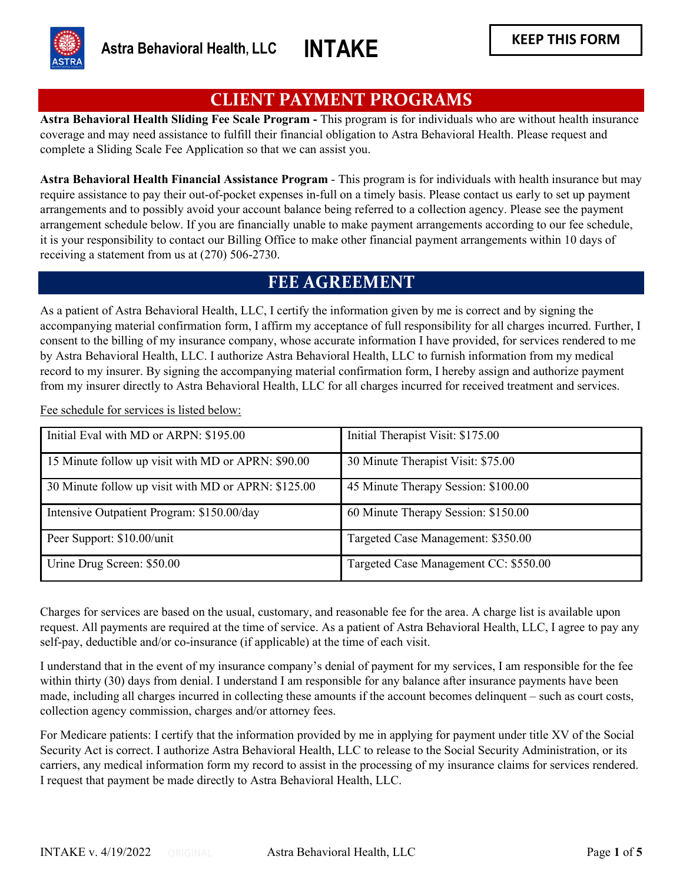

## **CLIENT PAYMENT PROGRAMS**

**Astra Behavioral Health Sliding Fee Scale Program -** This program is for individuals who are without health insurance coverage and may need assistance to fulfill their financial obligation to Astra Behavioral Health. Please request and complete a Sliding Scale Fee Application so that we can assist you.

**Astra Behavioral Health Financial Assistance Program** - This program is for individuals with health insurance but may require assistance to pay their out-of-pocket expenses in-full on a timely basis. Please contact us early to set up payment arrangements and to possibly avoid your account balance being referred to a collection agency. Please see the payment arrangement schedule below. If you are financially unable to make payment arrangements according to our fee schedule, it is your responsibility to contact our Billing Office to make other financial payment arrangements within 10 days of receiving a statement from us at (270) 506-2730.

## **FEE AGREEMENT**

As a patient of Astra Behavioral Health, LLC, I certify the information given by me is correct and by signing the accompanying material confirmation form, I affirm my acceptance of full responsibility for all charges incurred. Further, I consent to the billing of my insurance company, whose accurate information I have provided, for services rendered to me by Astra Behavioral Health, LLC. I authorize Astra Behavioral Health, LLC to furnish information from my medical record to my insurer. By signing the accompanying material confirmation form, I hereby assign and authorize payment from my insurer directly to Astra Behavioral Health, LLC for all charges incurred for received treatment and services.

Fee schedule for services is listed below:

| Initial Eval with MD or ARPN: \$195.00              | Initial Therapist Visit: \$175.00     |
|-----------------------------------------------------|---------------------------------------|
| 15 Minute follow up visit with MD or APRN: \$90.00  | 30 Minute Therapist Visit: \$75.00    |
| 30 Minute follow up visit with MD or APRN: \$125.00 | 45 Minute Therapy Session: \$100.00   |
| Intensive Outpatient Program: \$150.00/day          | 60 Minute Therapy Session: \$150.00   |
| Peer Support: \$10.00/unit                          | Targeted Case Management: \$350.00    |
| Urine Drug Screen: \$50.00                          | Targeted Case Management CC: \$550.00 |

Charges for services are based on the usual, customary, and reasonable fee for the area. A charge list is available upon request. All payments are required at the time of service. As a patient of Astra Behavioral Health, LLC, I agree to pay any self-pay, deductible and/or co-insurance (if applicable) at the time of each visit.

I understand that in the event of my insurance company's denial of payment for my services, I am responsible for the fee within thirty (30) days from denial. I understand I am responsible for any balance after insurance payments have been made, including all charges incurred in collecting these amounts if the account becomes delinquent – such as court costs, collection agency commission, charges and/or attorney fees.

For Medicare patients: I certify that the information provided by me in applying for payment under title XV of the Social Security Act is correct. I authorize Astra Behavioral Health, LLC to release to the Social Security Administration, or its carriers, any medical information form my record to assist in the processing of my insurance claims for services rendered. I request that payment be made directly to Astra Behavioral Health, LLC.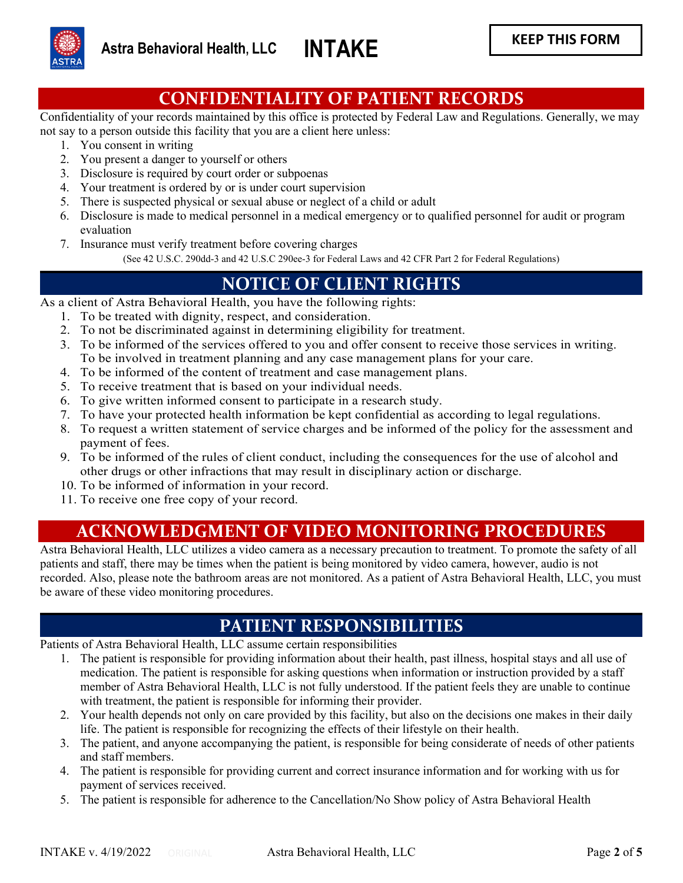

## **CONFIDENTIALITY OF PATIENT RECORDS**

Confidentiality of your records maintained by this office is protected by Federal Law and Regulations. Generally, we may not say to a person outside this facility that you are a client here unless:

- 1. You consent in writing
- 2. You present a danger to yourself or others
- 3. Disclosure is required by court order or subpoenas
- 4. Your treatment is ordered by or is under court supervision
- 5. There is suspected physical or sexual abuse or neglect of a child or adult
- 6. Disclosure is made to medical personnel in a medical emergency or to qualified personnel for audit or program evaluation
- 7. Insurance must verify treatment before covering charges

(See 42 U.S.C. 290dd-3 and 42 U.S.C 290ee-3 for Federal Laws and 42 CFR Part 2 for Federal Regulations)

## **NOTICE OF CLIENT RIGHTS**

As a client of Astra Behavioral Health, you have the following rights:

- 1. To be treated with dignity, respect, and consideration.
- 2. To not be discriminated against in determining eligibility for treatment.
- 3. To be informed of the services offered to you and offer consent to receive those services in writing. To be involved in treatment planning and any case management plans for your care.
- 4. To be informed of the content of treatment and case management plans.
- 5. To receive treatment that is based on your individual needs.
- 6. To give written informed consent to participate in a research study.
- 7. To have your protected health information be kept confidential as according to legal regulations.
- 8. To request a written statement of service charges and be informed of the policy for the assessment and payment of fees.
- 9. To be informed of the rules of client conduct, including the consequences for the use of alcohol and other drugs or other infractions that may result in disciplinary action or discharge.
- 10. To be informed of information in your record.
- 11. To receive one free copy of your record.

# **ACKNOWLEDGMENT OF VIDEO MONITORING PROCEDURES**

Astra Behavioral Health, LLC utilizes a video camera as a necessary precaution to treatment. To promote the safety of all patients and staff, there may be times when the patient is being monitored by video camera, however, audio is not recorded. Also, please note the bathroom areas are not monitored. As a patient of Astra Behavioral Health, LLC, you must be aware of these video monitoring procedures.

### **PATIENT RESPONSIBILITIES**

Patients of Astra Behavioral Health, LLC assume certain responsibilities

- 1. The patient is responsible for providing information about their health, past illness, hospital stays and all use of medication. The patient is responsible for asking questions when information or instruction provided by a staff member of Astra Behavioral Health, LLC is not fully understood. If the patient feels they are unable to continue with treatment, the patient is responsible for informing their provider.
- 2. Your health depends not only on care provided by this facility, but also on the decisions one makes in their daily life. The patient is responsible for recognizing the effects of their lifestyle on their health.
- 3. The patient, and anyone accompanying the patient, is responsible for being considerate of needs of other patients and staff members.
- 4. The patient is responsible for providing current and correct insurance information and for working with us for payment of services received.
- 5. The patient is responsible for adherence to the Cancellation/No Show policy of Astra Behavioral Health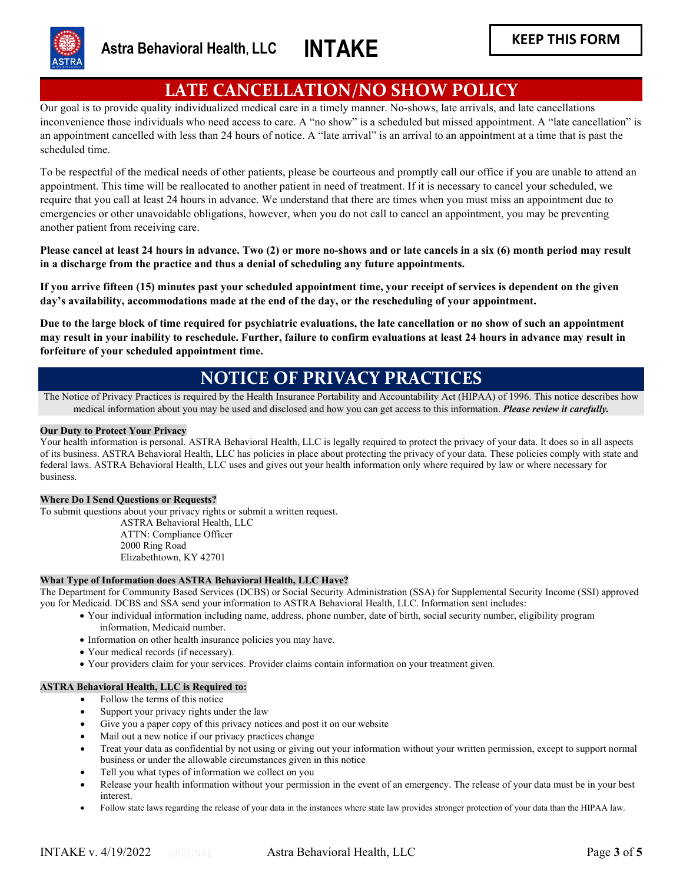

# **LATE CANCELLATION/NO SHOW POLICY**

Our goal is to provide quality individualized medical care in a timely manner. No-shows, late arrivals, and late cancellations inconvenience those individuals who need access to care. A "no show" is a scheduled but missed appointment. A "late cancellation" is an appointment cancelled with less than 24 hours of notice. A "late arrival" is an arrival to an appointment at a time that is past the scheduled time.

To be respectful of the medical needs of other patients, please be courteous and promptly call our office if you are unable to attend an appointment. This time will be reallocated to another patient in need of treatment. If it is necessary to cancel your scheduled, we require that you call at least 24 hours in advance. We understand that there are times when you must miss an appointment due to emergencies or other unavoidable obligations, however, when you do not call to cancel an appointment, you may be preventing another patient from receiving care.

**Please cancel at least 24 hours in advance. Two (2) or more no-shows and or late cancels in a six (6) month period may result in a discharge from the practice and thus a denial of scheduling any future appointments.**

**If you arrive fifteen (15) minutes past your scheduled appointment time, your receipt of services is dependent on the given day's availability, accommodations made at the end of the day, or the rescheduling of your appointment.** 

**Due to the large block of time required for psychiatric evaluations, the late cancellation or no show of such an appointment may result in your inability to reschedule. Further, failure to confirm evaluations at least 24 hours in advance may result in forfeiture of your scheduled appointment time.** 

## **NOTICE OF PRIVACY PRACTICES**

The Notice of Privacy Practices is required by the Health Insurance Portability and Accountability Act (HIPAA) of 1996. This notice describes how medical information about you may be used and disclosed and how you can get access to this information. *Please review it carefully.*

#### **Our Duty to Protect Your Privacy**

Your health information is personal. ASTRA Behavioral Health, LLC is legally required to protect the privacy of your data. It does so in all aspects of its business. ASTRA Behavioral Health, LLC has policies in place about protecting the privacy of your data. These policies comply with state and federal laws. ASTRA Behavioral Health, LLC uses and gives out your health information only where required by law or where necessary for business.

#### **Where Do I Send Questions or Requests?**

To submit questions about your privacy rights or submit a written request. ASTRA Behavioral Health, LLC ATTN: Compliance Officer 2000 Ring Road Elizabethtown, KY 42701

#### **What Type of Information does ASTRA Behavioral Health, LLC Have?**

The Department for Community Based Services (DCBS) or Social Security Administration (SSA) for Supplemental Security Income (SSI) approved you for Medicaid. DCBS and SSA send your information to ASTRA Behavioral Health, LLC. Information sent includes:

- Your individual information including name, address, phone number, date of birth, social security number, eligibility program information, Medicaid number.
	- Information on other health insurance policies you may have.
	- Your medical records (if necessary).
	- Your providers claim for your services. Provider claims contain information on your treatment given.

#### **ASTRA Behavioral Health, LLC is Required to:**

- Follow the terms of this notice
- Support your privacy rights under the law
- Give you a paper copy of this privacy notices and post it on our website
- Mail out a new notice if our privacy practices change
- Treat your data as confidential by not using or giving out your information without your written permission, except to support normal business or under the allowable circumstances given in this notice
- Tell you what types of information we collect on you
- Release your health information without your permission in the event of an emergency. The release of your data must be in your best interest.
- Follow state laws regarding the release of your data in the instances where state law provides stronger protection of your data than the HIPAA law.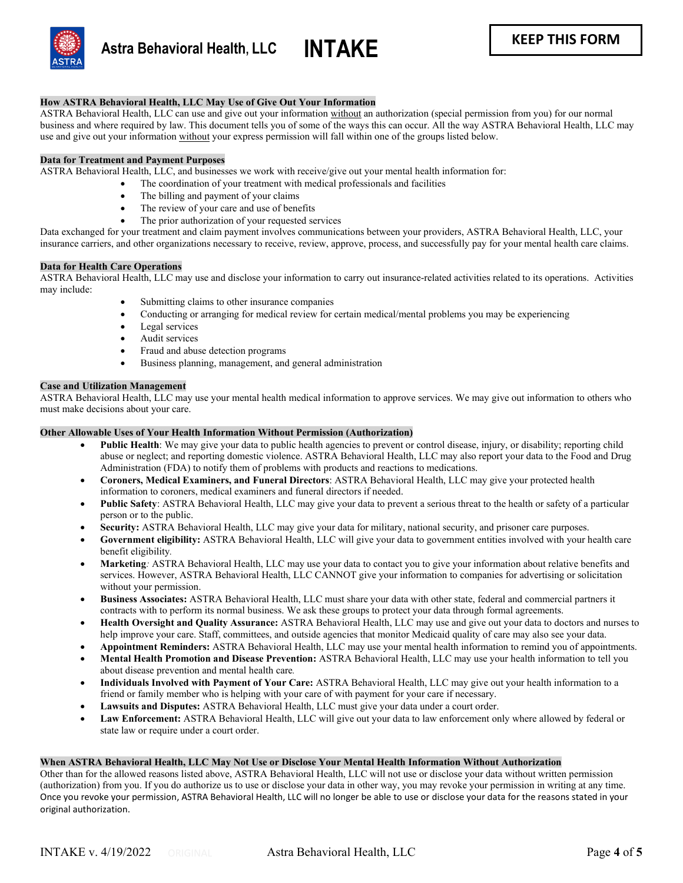

#### **How ASTRA Behavioral Health, LLC May Use of Give Out Your Information**

ASTRA Behavioral Health, LLC can use and give out your information without an authorization (special permission from you) for our normal business and where required by law. This document tells you of some of the ways this can occur. All the way ASTRA Behavioral Health, LLC may use and give out your information without your express permission will fall within one of the groups listed below.

#### **Data for Treatment and Payment Purposes**

ASTRA Behavioral Health, LLC, and businesses we work with receive/give out your mental health information for:

- The coordination of your treatment with medical professionals and facilities
- The billing and payment of your claims
- The review of your care and use of benefits
- The prior authorization of your requested services

Data exchanged for your treatment and claim payment involves communications between your providers, ASTRA Behavioral Health, LLC, your insurance carriers, and other organizations necessary to receive, review, approve, process, and successfully pay for your mental health care claims.

#### **Data for Health Care Operations**

ASTRA Behavioral Health, LLC may use and disclose your information to carry out insurance-related activities related to its operations. Activities may include:

- Submitting claims to other insurance companies
- Conducting or arranging for medical review for certain medical/mental problems you may be experiencing
- Legal services
- Audit services
- Fraud and abuse detection programs
- Business planning, management, and general administration

#### **Case and Utilization Management**

ASTRA Behavioral Health, LLC may use your mental health medical information to approve services. We may give out information to others who must make decisions about your care.

#### **Other Allowable Uses of Your Health Information Without Permission (Authorization)**

- **Public Health**: We may give your data to public health agencies to prevent or control disease, injury, or disability; reporting child abuse or neglect; and reporting domestic violence. ASTRA Behavioral Health, LLC may also report your data to the Food and Drug Administration (FDA) to notify them of problems with products and reactions to medications.
- **Coroners, Medical Examiners, and Funeral Directors**: ASTRA Behavioral Health, LLC may give your protected health information to coroners, medical examiners and funeral directors if needed.
- **Public Safety**: ASTRA Behavioral Health, LLC may give your data to prevent a serious threat to the health or safety of a particular person or to the public.
- **Security:** ASTRA Behavioral Health, LLC may give your data for military, national security, and prisoner care purposes.
- **Government eligibility:** ASTRA Behavioral Health, LLC will give your data to government entities involved with your health care benefit eligibility*.*
- **Marketing***:* ASTRA Behavioral Health, LLC may use your data to contact you to give your information about relative benefits and services. However, ASTRA Behavioral Health, LLC CANNOT give your information to companies for advertising or solicitation without your permission.
- **Business Associates:** ASTRA Behavioral Health, LLC must share your data with other state, federal and commercial partners it contracts with to perform its normal business. We ask these groups to protect your data through formal agreements.
- **Health Oversight and Quality Assurance:** ASTRA Behavioral Health, LLC may use and give out your data to doctors and nurses to help improve your care. Staff, committees, and outside agencies that monitor Medicaid quality of care may also see your data.
- **Appointment Reminders:** ASTRA Behavioral Health, LLC may use your mental health information to remind you of appointments.
- **Mental Health Promotion and Disease Prevention:** ASTRA Behavioral Health, LLC may use your health information to tell you about disease prevention and mental health care*.*
- **Individuals Involved with Payment of Your Care:** ASTRA Behavioral Health, LLC may give out your health information to a friend or family member who is helping with your care of with payment for your care if necessary.
- **Lawsuits and Disputes:** ASTRA Behavioral Health, LLC must give your data under a court order.
- **Law Enforcement:** ASTRA Behavioral Health, LLC will give out your data to law enforcement only where allowed by federal or state law or require under a court order.

#### **When ASTRA Behavioral Health, LLC May Not Use or Disclose Your Mental Health Information Without Authorization**

Other than for the allowed reasons listed above, ASTRA Behavioral Health, LLC will not use or disclose your data without written permission (authorization) from you. If you do authorize us to use or disclose your data in other way, you may revoke your permission in writing at any time. Once you revoke your permission, ASTRA Behavioral Health, LLC will no longer be able to use or disclose your data for the reasons stated in your original authorization.